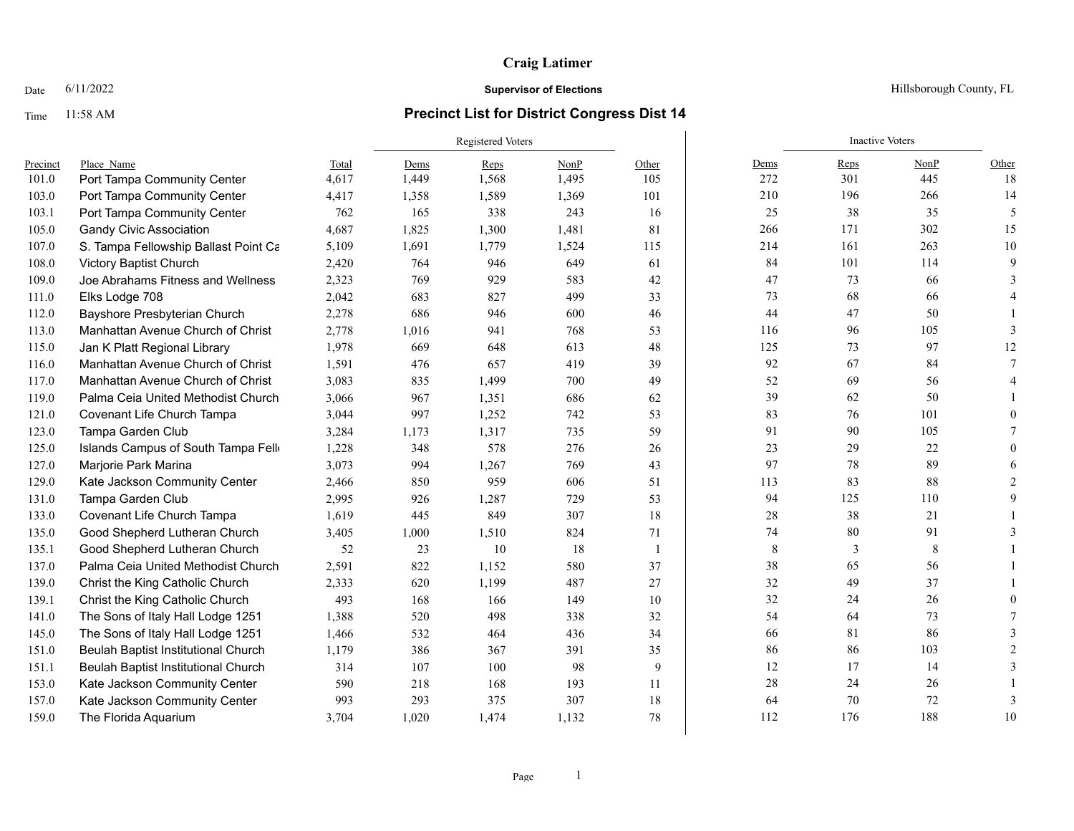# Time 11:58 AM **Precinct List for District Congress Dist 14**

|          |                                      |       | <b>Registered Voters</b> |       |       |                |        | <b>Inactive Voters</b> |      |                |
|----------|--------------------------------------|-------|--------------------------|-------|-------|----------------|--------|------------------------|------|----------------|
| Precinct | Place Name                           | Total | Dems                     | Reps  | NonP  | Other          | Dems   | Reps                   | NonP | Other          |
| 101.0    | Port Tampa Community Center          | 4,617 | 1,449                    | 1,568 | 1,495 | 105            | 272    | 301                    | 445  | 18             |
| 103.0    | Port Tampa Community Center          | 4,417 | 1,358                    | 1,589 | 1,369 | 101            | 210    | 196                    | 266  | 14             |
| 103.1    | Port Tampa Community Center          | 762   | 165                      | 338   | 243   | 16             | 25     | 38                     | 35   | 5              |
| 105.0    | <b>Gandy Civic Association</b>       | 4,687 | 1,825                    | 1,300 | 1,481 | 81             | 266    | 171                    | 302  | 15             |
| 107.0    | S. Tampa Fellowship Ballast Point Ca | 5,109 | 1,691                    | 1,779 | 1,524 | 115            | 214    | 161                    | 263  | 10             |
| 108.0    | Victory Baptist Church               | 2,420 | 764                      | 946   | 649   | 61             | 84     | 101                    | 114  | $\mathbf Q$    |
| 109.0    | Joe Abrahams Fitness and Wellness    | 2,323 | 769                      | 929   | 583   | 42             | 47     | 73                     | 66   |                |
| 111.0    | Elks Lodge 708                       | 2,042 | 683                      | 827   | 499   | 33             | 73     | 68                     | 66   |                |
| 112.0    | Bayshore Presbyterian Church         | 2,278 | 686                      | 946   | 600   | 46             | 44     | 47                     | 50   |                |
| 113.0    | Manhattan Avenue Church of Christ    | 2,778 | 1,016                    | 941   | 768   | 53             | 116    | 96                     | 105  | 3              |
| 115.0    | Jan K Platt Regional Library         | 1,978 | 669                      | 648   | 613   | 48             | 125    | 73                     | 97   | 12             |
| 116.0    | Manhattan Avenue Church of Christ    | 1,591 | 476                      | 657   | 419   | 39             | 92     | 67                     | 84   |                |
| 117.0    | Manhattan Avenue Church of Christ    | 3,083 | 835                      | 1,499 | 700   | 49             | 52     | 69                     | 56   |                |
| 119.0    | Palma Ceia United Methodist Church   | 3,066 | 967                      | 1,351 | 686   | 62             | 39     | 62                     | 50   |                |
| 121.0    | Covenant Life Church Tampa           | 3,044 | 997                      | 1,252 | 742   | 53             | 83     | 76                     | 101  | $\Omega$       |
| 123.0    | Tampa Garden Club                    | 3,284 | 1,173                    | 1,317 | 735   | 59             | 91     | 90                     | 105  |                |
| 125.0    | Islands Campus of South Tampa Fello  | 1,228 | 348                      | 578   | 276   | 26             | 23     | 29                     | 22   | $\Omega$       |
| 127.0    | Marjorie Park Marina                 | 3,073 | 994                      | 1,267 | 769   | 43             | 97     | 78                     | 89   |                |
| 129.0    | Kate Jackson Community Center        | 2,466 | 850                      | 959   | 606   | 51             | 113    | 83                     | 88   | $\mathcal{D}$  |
| 131.0    | Tampa Garden Club                    | 2,995 | 926                      | 1,287 | 729   | 53             | 94     | 125                    | 110  |                |
| 133.0    | Covenant Life Church Tampa           | 1,619 | 445                      | 849   | 307   | 18             | $28\,$ | 38                     | 21   |                |
| 135.0    | Good Shepherd Lutheran Church        | 3,405 | 1,000                    | 1,510 | 824   | 71             | 74     | 80                     | 91   |                |
| 135.1    | Good Shepherd Lutheran Church        | 52    | 23                       | 10    | 18    | $\overline{1}$ | 8      | 3                      | 8    |                |
| 137.0    | Palma Ceia United Methodist Church   | 2,591 | 822                      | 1,152 | 580   | 37             | 38     | 65                     | 56   |                |
| 139.0    | Christ the King Catholic Church      | 2,333 | 620                      | 1,199 | 487   | 27             | 32     | 49                     | 37   |                |
| 139.1    | Christ the King Catholic Church      | 493   | 168                      | 166   | 149   | 10             | 32     | 24                     | 26   |                |
| 141.0    | The Sons of Italy Hall Lodge 1251    | 1,388 | 520                      | 498   | 338   | 32             | 54     | 64                     | 73   |                |
| 145.0    | The Sons of Italy Hall Lodge 1251    | 1,466 | 532                      | 464   | 436   | 34             | 66     | $81\,$                 | 86   |                |
| 151.0    | Beulah Baptist Institutional Church  | 1,179 | 386                      | 367   | 391   | 35             | 86     | 86                     | 103  | $\mathfrak{D}$ |
| 151.1    | Beulah Baptist Institutional Church  | 314   | 107                      | 100   | 98    | 9              | 12     | 17                     | 14   | $\mathbf{3}$   |
| 153.0    | Kate Jackson Community Center        | 590   | 218                      | 168   | 193   | 11             | 28     | 24                     | 26   |                |
| 157.0    | Kate Jackson Community Center        | 993   | 293                      | 375   | 307   | 18             | 64     | 70                     | 72   | 3              |
| 159.0    | The Florida Aquarium                 | 3,704 | 1,020                    | 1,474 | 1,132 | 78             | 112    | 176                    | 188  | 10             |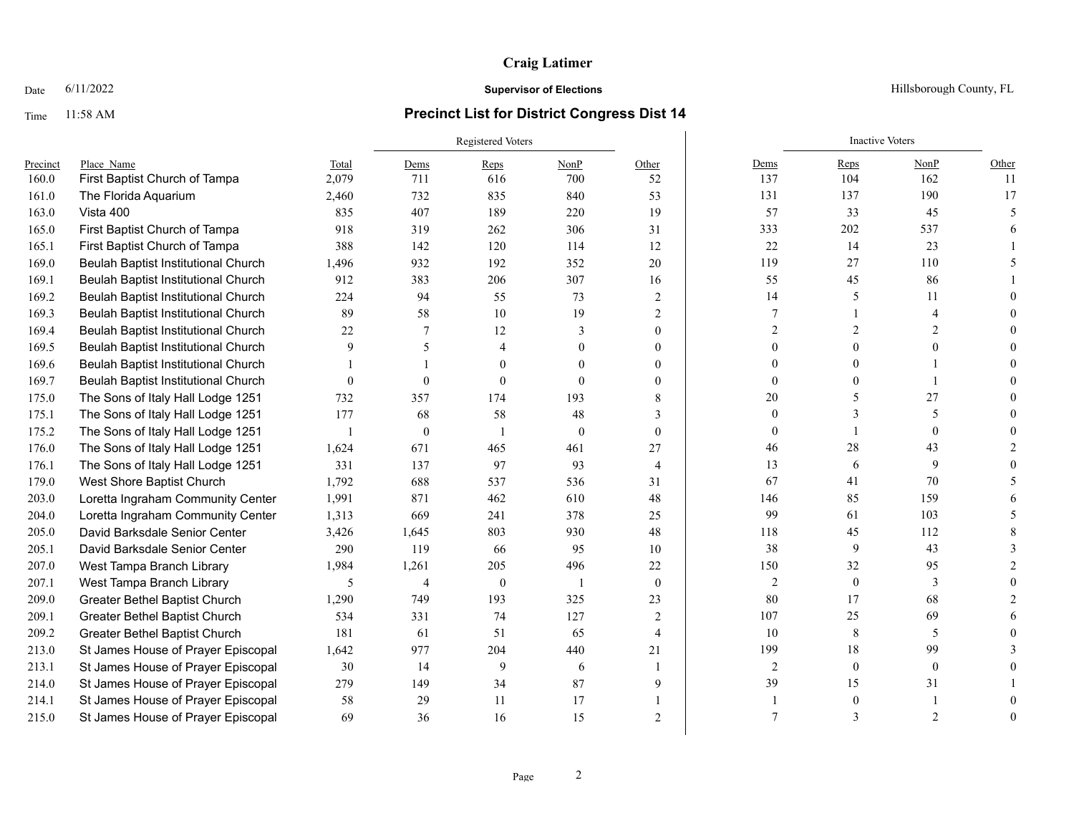## Time 11:58 AM **Precinct List for District Congress Dist 14**

|          |                                      |          | Registered Voters |          |               |                |                | <b>Inactive Voters</b> |                |       |
|----------|--------------------------------------|----------|-------------------|----------|---------------|----------------|----------------|------------------------|----------------|-------|
| Precinct | Place Name                           | Total    | Dems              | Reps     | NonP          | Other          | Dems           | Reps                   | NonP           | Other |
| 160.0    | First Baptist Church of Tampa        | 2,079    | 711               | 616      | 700           | 52             | 137            | 104                    | 162            | 11    |
| 161.0    | The Florida Aquarium                 | 2,460    | 732               | 835      | 840           | 53             | 131            | 137                    | 190            | 17    |
| 163.0    | Vista 400                            | 835      | 407               | 189      | 220           | 19             | 57             | 33                     | 45             |       |
| 165.0    | First Baptist Church of Tampa        | 918      | 319               | 262      | 306           | 31             | 333            | 202                    | 537            |       |
| 165.1    | First Baptist Church of Tampa        | 388      | 142               | 120      | 114           | 12             | $22\,$         | 14                     | 23             |       |
| 169.0    | Beulah Baptist Institutional Church  | 1,496    | 932               | 192      | 352           | 20             | 119            | 27                     | 110            |       |
| 169.1    | Beulah Baptist Institutional Church  | 912      | 383               | 206      | 307           | 16             | 55             | 45                     | 86             |       |
| 169.2    | Beulah Baptist Institutional Church  | 224      | 94                | 55       | 73            | 2              | 14             | 5                      | 11             |       |
| 169.3    | Beulah Baptist Institutional Church  | 89       | 58                | 10       | 19            | 2              | $\tau$         |                        | 4              |       |
| 169.4    | Beulah Baptist Institutional Church  | 22       | 7                 | 12       | $\mathcal{E}$ | 0              | $\mathcal{D}$  |                        | $\mathcal{D}$  |       |
| 169.5    | Beulah Baptist Institutional Church  | 9        | 5                 |          | 0             | 0              |                |                        |                |       |
| 169.6    | Beulah Baptist Institutional Church  |          |                   | $\Omega$ | 0             | 0              |                |                        |                |       |
| 169.7    | Beulah Baptist Institutional Church  | $\theta$ | $\theta$          | $\Omega$ | $\Omega$      | 0              | 0              |                        |                |       |
| 175.0    | The Sons of Italy Hall Lodge 1251    | 732      | 357               | 174      | 193           | 8              | 20             |                        | 27             |       |
| 175.1    | The Sons of Italy Hall Lodge 1251    | 177      | 68                | 58       | 48            | 3              | $\theta$       |                        | 5              |       |
| 175.2    | The Sons of Italy Hall Lodge 1251    |          | $\mathbf{0}$      |          | $\theta$      | $\mathbf{0}$   | $\theta$       |                        | $\theta$       |       |
| 176.0    | The Sons of Italy Hall Lodge 1251    | 1,624    | 671               | 465      | 461           | 27             | 46             | 28                     | 43             |       |
| 176.1    | The Sons of Italy Hall Lodge 1251    | 331      | 137               | 97       | 93            | $\overline{4}$ | 13             | 6                      | 9              |       |
| 179.0    | West Shore Baptist Church            | 1,792    | 688               | 537      | 536           | 31             | 67             | 41                     | 70             |       |
| 203.0    | Loretta Ingraham Community Center    | 1,991    | 871               | 462      | 610           | 48             | 146            | 85                     | 159            |       |
| 204.0    | Loretta Ingraham Community Center    | 1,313    | 669               | 241      | 378           | 25             | 99             | 61                     | 103            |       |
| 205.0    | David Barksdale Senior Center        | 3,426    | 1,645             | 803      | 930           | 48             | 118            | 45                     | 112            |       |
| 205.1    | David Barksdale Senior Center        | 290      | 119               | 66       | 95            | 10             | 38             | 9                      | 43             |       |
| 207.0    | West Tampa Branch Library            | 1,984    | 1,261             | 205      | 496           | 22             | 150            | 32                     | 95             |       |
| 207.1    | West Tampa Branch Library            | 5        | $\overline{4}$    | $\theta$ |               | $\mathbf{0}$   | $\sqrt{2}$     | $\mathbf{0}$           | 3              |       |
| 209.0    | Greater Bethel Baptist Church        | 1,290    | 749               | 193      | 325           | 23             | 80             | 17                     | 68             |       |
| 209.1    | Greater Bethel Baptist Church        | 534      | 331               | 74       | 127           | 2              | 107            | 25                     | 69             |       |
| 209.2    | <b>Greater Bethel Baptist Church</b> | 181      | 61                | 51       | 65            | $\overline{4}$ | 10             | 8                      | 5              |       |
| 213.0    | St James House of Prayer Episcopal   | 1,642    | 977               | 204      | 440           | 21             | 199            | 18                     | 99             |       |
| 213.1    | St James House of Prayer Episcopal   | 30       | 14                | 9        | 6             |                | $\overline{2}$ | $\mathbf{0}$           | $\mathbf{0}$   |       |
| 214.0    | St James House of Prayer Episcopal   | 279      | 149               | 34       | 87            | 9              | 39             | 15                     | 31             |       |
| 214.1    | St James House of Prayer Episcopal   | 58       | 29                | 11       | 17            |                |                |                        |                |       |
| 215.0    | St James House of Prayer Episcopal   | 69       | 36                | 16       | 15            | $\overline{c}$ | 7              |                        | $\overline{c}$ |       |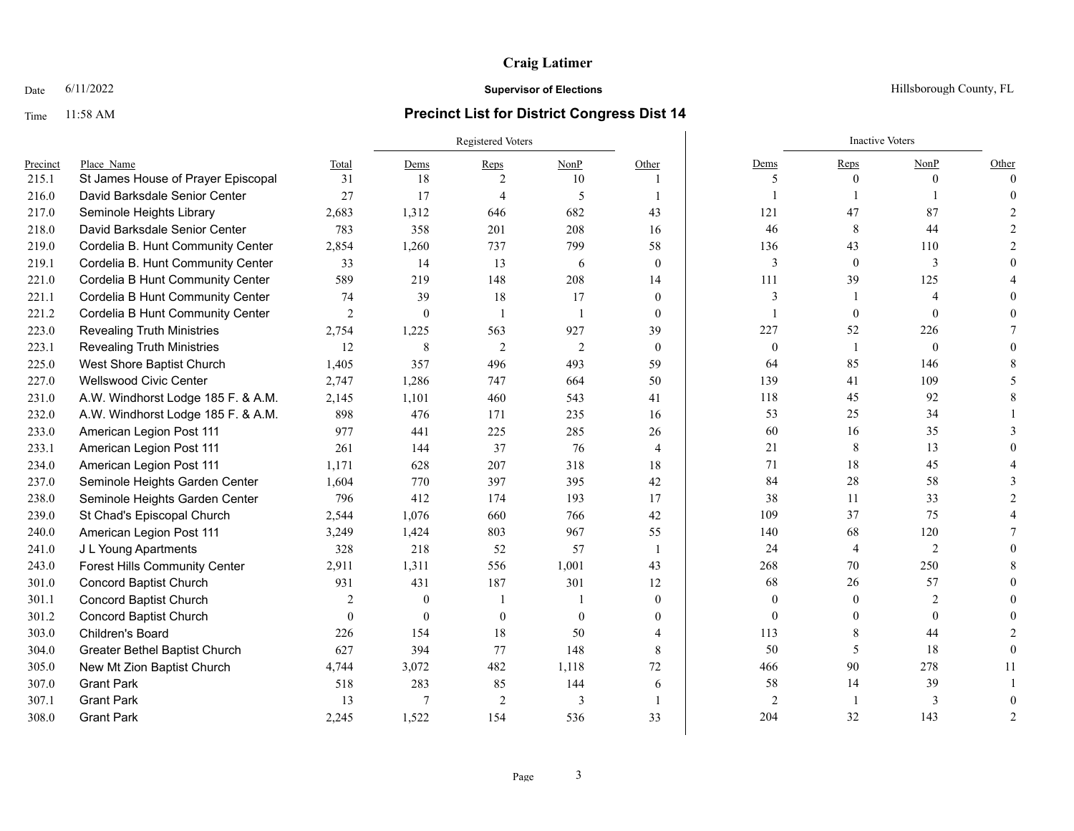### Date  $6/11/2022$  Hillsborough County, FL

### Time 11:58 AM **Precinct List for District Congress Dist 14**

|          |                                      |                | Registered Voters |                          |                |                         |                | <b>Inactive Voters</b> |                          |          |
|----------|--------------------------------------|----------------|-------------------|--------------------------|----------------|-------------------------|----------------|------------------------|--------------------------|----------|
| Precinct | Place Name                           | Total          | Dems              | Reps                     | NonP           | Other                   | Dems           | Reps                   | NonP                     | Other    |
| 215.1    | St James House of Prayer Episcopal   | 31             | 18                | $\mathfrak{D}$           | 10             |                         | 5              | $\theta$               | $\theta$                 | $\Omega$ |
| 216.0    | David Barksdale Senior Center        | 27             | 17                | $\overline{4}$           | 5              |                         |                |                        |                          |          |
| 217.0    | Seminole Heights Library             | 2,683          | 1,312             | 646                      | 682            | 43                      | 121            | 47                     | 87                       |          |
| 218.0    | David Barksdale Senior Center        | 783            | 358               | 201                      | 208            | 16                      | 46             | 8                      | 44                       |          |
| 219.0    | Cordelia B. Hunt Community Center    | 2,854          | 1,260             | 737                      | 799            | 58                      | 136            | 43                     | 110                      |          |
| 219.1    | Cordelia B. Hunt Community Center    | 33             | 14                | 13                       | 6              | $\mathbf{0}$            | $\overline{3}$ | $\mathbf{0}$           | 3                        |          |
| 221.0    | Cordelia B Hunt Community Center     | 589            | 219               | 148                      | 208            | 14                      | 111            | 39                     | 125                      |          |
| 221.1    | Cordelia B Hunt Community Center     | 74             | 39                | 18                       | 17             | $\theta$                | $\overline{3}$ |                        | $\boldsymbol{\varDelta}$ |          |
| 221.2    | Cordelia B Hunt Community Center     | $\overline{2}$ | $\mathbf{0}$      | $\overline{\phantom{0}}$ |                | $\theta$                |                | $\theta$               | $\Omega$                 |          |
| 223.0    | <b>Revealing Truth Ministries</b>    | 2,754          | 1,225             | 563                      | 927            | 39                      | 227            | 52                     | 226                      |          |
| 223.1    | <b>Revealing Truth Ministries</b>    | 12             | 8                 | 2                        | $\overline{2}$ | $\theta$                | $\theta$       | 1                      | $\Omega$                 |          |
| 225.0    | West Shore Baptist Church            | 1,405          | 357               | 496                      | 493            | 59                      | 64             | 85                     | 146                      |          |
| 227.0    | Wellswood Civic Center               | 2,747          | 1,286             | 747                      | 664            | 50                      | 139            | 41                     | 109                      |          |
| 231.0    | A.W. Windhorst Lodge 185 F. & A.M.   | 2,145          | 1,101             | 460                      | 543            | 41                      | 118            | 45                     | 92                       |          |
| 232.0    | A.W. Windhorst Lodge 185 F. & A.M.   | 898            | 476               | 171                      | 235            | 16                      | 53             | 25                     | 34                       |          |
| 233.0    | American Legion Post 111             | 977            | 441               | 225                      | 285            | 26                      | 60             | 16                     | 35                       |          |
| 233.1    | American Legion Post 111             | 261            | 144               | 37                       | 76             | $\overline{4}$          | 21             | 8                      | 13                       |          |
| 234.0    | American Legion Post 111             | 1.171          | 628               | 207                      | 318            | 18                      | 71             | 18                     | 45                       |          |
| 237.0    | Seminole Heights Garden Center       | 1.604          | 770               | 397                      | 395            | 42                      | 84             | 28                     | 58                       |          |
| 238.0    | Seminole Heights Garden Center       | 796            | 412               | 174                      | 193            | 17                      | 38             | 11                     | 33                       |          |
| 239.0    | St Chad's Episcopal Church           | 2,544          | 1,076             | 660                      | 766            | 42                      | 109            | 37                     | 75                       |          |
| 240.0    | American Legion Post 111             | 3,249          | 1,424             | 803                      | 967            | 55                      | 140            | 68                     | 120                      |          |
| 241.0    | J L Young Apartments                 | 328            | 218               | 52                       | 57             | $\overline{\mathbf{1}}$ | 24             | $\overline{4}$         | $\overline{2}$           |          |
| 243.0    | <b>Forest Hills Community Center</b> | 2,911          | 1.311             | 556                      | 1,001          | 43                      | 268            | 70                     | 250                      |          |
| 301.0    | <b>Concord Baptist Church</b>        | 931            | 431               | 187                      | 301            | 12                      | 68             | 26                     | 57                       |          |
| 301.1    | <b>Concord Baptist Church</b>        | $\overline{c}$ | $\mathbf{0}$      |                          |                | $\mathbf{0}$            | $\overline{0}$ | $\mathbf{0}$           | $\overline{2}$           |          |
| 301.2    | <b>Concord Baptist Church</b>        | $\theta$       | $\mathbf{0}$      | $\mathbf{0}$             | $\Omega$       | $\mathbf{0}$            | $\theta$       | $\Omega$               | $\theta$                 |          |
| 303.0    | Children's Board                     | 226            | 154               | 18                       | 50             |                         | 113            | 8                      | 44                       |          |
| 304.0    | Greater Bethel Baptist Church        | 627            | 394               | 77                       | 148            | 8                       | 50             | 5                      | 18                       |          |
| 305.0    | New Mt Zion Baptist Church           | 4,744          | 3,072             | 482                      | 1,118          | 72                      | 466            | 90                     | 278                      | 11       |
| 307.0    | <b>Grant Park</b>                    | 518            | 283               | 85                       | 144            | 6                       | 58             | 14                     | 39                       |          |
| 307.1    | <b>Grant Park</b>                    | 13             | 7                 | $\overline{2}$           | $\overline{3}$ |                         | $\overline{2}$ |                        | 3                        |          |
| 308.0    | <b>Grant Park</b>                    | 2,245          | 1,522             | 154                      | 536            | 33                      | 204            | 32                     | 143                      |          |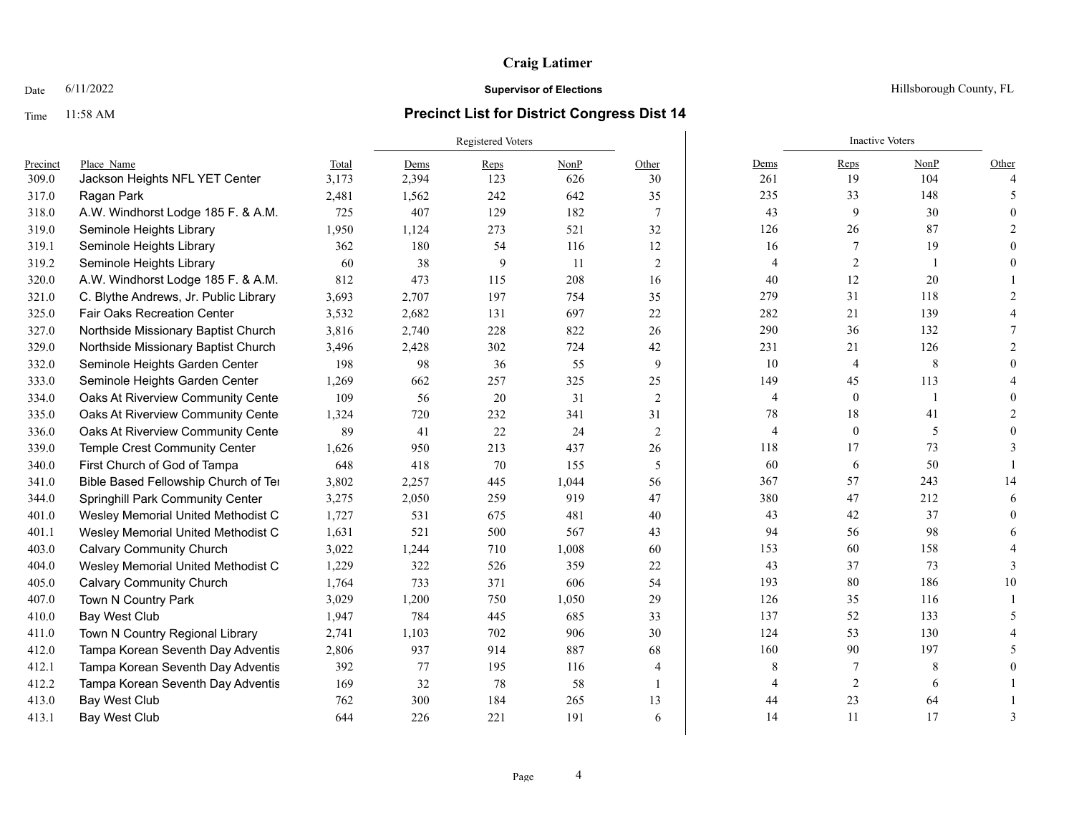## Time 11:58 AM **Precinct List for District Congress Dist 14**

|          |                                       |       | <b>Registered Voters</b> |      |       |                |                | <b>Inactive Voters</b> |              |               |
|----------|---------------------------------------|-------|--------------------------|------|-------|----------------|----------------|------------------------|--------------|---------------|
| Precinct | Place Name                            | Total | Dems                     | Reps | NonP  | Other          | Dems           | Reps                   | NonP         | Other         |
| 309.0    | Jackson Heights NFL YET Center        | 3,173 | 2,394                    | 123  | 626   | 30             | 261            | 19                     | 104          |               |
| 317.0    | Ragan Park                            | 2,481 | 1,562                    | 242  | 642   | 35             | 235            | 33                     | 148          | -5            |
| 318.0    | A.W. Windhorst Lodge 185 F. & A.M.    | 725   | 407                      | 129  | 182   | $\tau$         | 43             | 9                      | 30           |               |
| 319.0    | Seminole Heights Library              | 1,950 | 1,124                    | 273  | 521   | 32             | 126            | 26                     | $87\,$       |               |
| 319.1    | Seminole Heights Library              | 362   | 180                      | 54   | 116   | 12             | 16             | 7                      | 19           |               |
| 319.2    | Seminole Heights Library              | 60    | 38                       | 9    | 11    | 2              | $\overline{4}$ | $\overline{2}$         | 1            |               |
| 320.0    | A.W. Windhorst Lodge 185 F. & A.M.    | 812   | 473                      | 115  | 208   | 16             | 40             | 12                     | 20           |               |
| 321.0    | C. Blythe Andrews, Jr. Public Library | 3,693 | 2,707                    | 197  | 754   | 35             | 279            | 31                     | 118          |               |
| 325.0    | <b>Fair Oaks Recreation Center</b>    | 3,532 | 2,682                    | 131  | 697   | 22             | 282            | 21                     | 139          |               |
| 327.0    | Northside Missionary Baptist Church   | 3,816 | 2,740                    | 228  | 822   | 26             | 290            | 36                     | 132          |               |
| 329.0    | Northside Missionary Baptist Church   | 3,496 | 2,428                    | 302  | 724   | 42             | 231            | 21                     | 126          |               |
| 332.0    | Seminole Heights Garden Center        | 198   | 98                       | 36   | 55    | 9              | 10             | $\overline{4}$         | 8            |               |
| 333.0    | Seminole Heights Garden Center        | 1,269 | 662                      | 257  | 325   | 25             | 149            | 45                     | 113          |               |
| 334.0    | Oaks At Riverview Community Cente     | 109   | 56                       | 20   | 31    | 2              | 4              | $\boldsymbol{0}$       | $\mathbf{1}$ |               |
| 335.0    | Oaks At Riverview Community Cente     | 1,324 | 720                      | 232  | 341   | 31             | 78             | 18                     | 41           |               |
| 336.0    | Oaks At Riverview Community Cente     | 89    | 41                       | 22   | 24    | 2              | $\overline{4}$ | $\boldsymbol{0}$       | 5            |               |
| 339.0    | Temple Crest Community Center         | 1,626 | 950                      | 213  | 437   | 26             | 118            | 17                     | 73           |               |
| 340.0    | First Church of God of Tampa          | 648   | 418                      | 70   | 155   | 5              | 60             | 6                      | 50           |               |
| 341.0    | Bible Based Fellowship Church of Ter  | 3,802 | 2,257                    | 445  | 1,044 | 56             | 367            | 57                     | 243          | 14            |
| 344.0    | Springhill Park Community Center      | 3,275 | 2,050                    | 259  | 919   | 47             | 380            | 47                     | 212          |               |
| 401.0    | Wesley Memorial United Methodist C    | 1,727 | 531                      | 675  | 481   | 40             | 43             | 42                     | 37           |               |
| 401.1    | Wesley Memorial United Methodist C    | 1,631 | 521                      | 500  | 567   | 43             | 94             | 56                     | 98           |               |
| 403.0    | <b>Calvary Community Church</b>       | 3,022 | 1,244                    | 710  | 1,008 | 60             | 153            | 60                     | 158          |               |
| 404.0    | Wesley Memorial United Methodist C    | 1,229 | 322                      | 526  | 359   | 22             | 43             | 37                     | 73           | $\mathcal{R}$ |
| 405.0    | <b>Calvary Community Church</b>       | 1,764 | 733                      | 371  | 606   | 54             | 193            | 80                     | 186          | 10            |
| 407.0    | Town N Country Park                   | 3,029 | 1,200                    | 750  | 1,050 | 29             | 126            | 35                     | 116          |               |
| 410.0    | Bay West Club                         | 1,947 | 784                      | 445  | 685   | 33             | 137            | 52                     | 133          |               |
| 411.0    | Town N Country Regional Library       | 2,741 | 1,103                    | 702  | 906   | 30             | 124            | 53                     | 130          |               |
| 412.0    | Tampa Korean Seventh Day Adventis     | 2,806 | 937                      | 914  | 887   | 68             | 160            | 90                     | 197          |               |
| 412.1    | Tampa Korean Seventh Day Adventis     | 392   | 77                       | 195  | 116   | $\overline{4}$ | 8              | 7                      | 8            |               |
| 412.2    | Tampa Korean Seventh Day Adventis     | 169   | 32                       | 78   | 58    |                | $\overline{4}$ | $\overline{2}$         | 6            |               |
| 413.0    | Bay West Club                         | 762   | 300                      | 184  | 265   | 13             | 44             | 23                     | 64           |               |
| 413.1    | <b>Bay West Club</b>                  | 644   | 226                      | 221  | 191   | 6              | 14             | 11                     | 17           | 3             |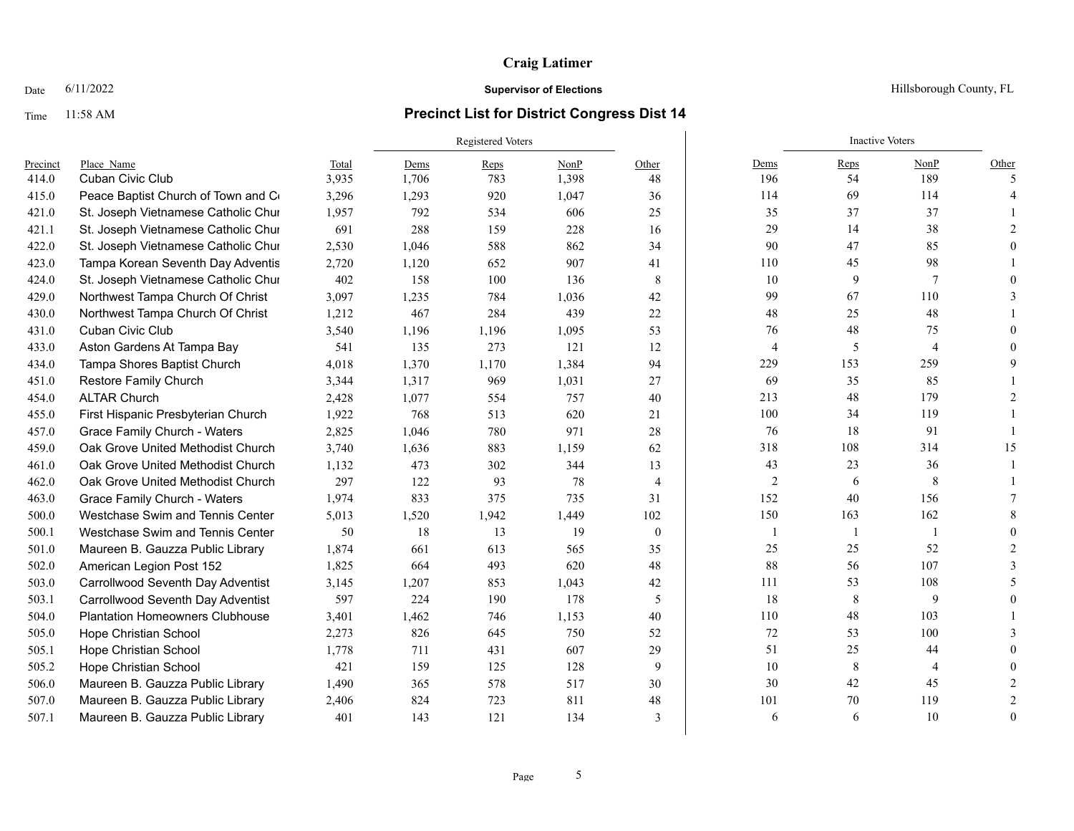### Time 11:58 AM **Precinct List for District Congress Dist 14**

|          |                                        |       | <b>Registered Voters</b> |       |       |                |                | <b>Inactive Voters</b> |      |          |
|----------|----------------------------------------|-------|--------------------------|-------|-------|----------------|----------------|------------------------|------|----------|
| Precinct | Place Name                             | Total | Dems                     | Reps  | NonP  | Other          | Dems           | Reps                   | NonP | Other    |
| 414.0    | Cuban Civic Club                       | 3,935 | 1,706                    | 783   | 1,398 | 48             | 196            | 54                     | 189  | $\sim$   |
| 415.0    | Peace Baptist Church of Town and Co    | 3,296 | 1,293                    | 920   | 1,047 | 36             | 114            | 69                     | 114  |          |
| 421.0    | St. Joseph Vietnamese Catholic Chur    | 1,957 | 792                      | 534   | 606   | 25             | 35             | 37                     | 37   |          |
| 421.1    | St. Joseph Vietnamese Catholic Chur    | 691   | 288                      | 159   | 228   | 16             | 29             | 14                     | 38   |          |
| 422.0    | St. Joseph Vietnamese Catholic Chur    | 2,530 | 1,046                    | 588   | 862   | 34             | 90             | 47                     | 85   |          |
| 423.0    | Tampa Korean Seventh Day Adventis      | 2,720 | 1,120                    | 652   | 907   | 41             | 110            | 45                     | 98   |          |
| 424.0    | St. Joseph Vietnamese Catholic Chur    | 402   | 158                      | 100   | 136   | 8              | 10             | 9                      | 7    |          |
| 429.0    | Northwest Tampa Church Of Christ       | 3,097 | 1,235                    | 784   | 1,036 | 42             | 99             | 67                     | 110  |          |
| 430.0    | Northwest Tampa Church Of Christ       | 1,212 | 467                      | 284   | 439   | 22             | 48             | 25                     | 48   |          |
| 431.0    | <b>Cuban Civic Club</b>                | 3,540 | 1,196                    | 1,196 | 1,095 | 53             | 76             | 48                     | 75   |          |
| 433.0    | Aston Gardens At Tampa Bay             | 541   | 135                      | 273   | 121   | 12             | 4              | 5                      | 4    |          |
| 434.0    | Tampa Shores Baptist Church            | 4,018 | 1,370                    | 1,170 | 1,384 | 94             | 229            | 153                    | 259  |          |
| 451.0    | <b>Restore Family Church</b>           | 3,344 | 1,317                    | 969   | 1,031 | 27             | 69             | 35                     | 85   |          |
| 454.0    | <b>ALTAR Church</b>                    | 2,428 | 1,077                    | 554   | 757   | 40             | 213            | 48                     | 179  |          |
| 455.0    | First Hispanic Presbyterian Church     | 1,922 | 768                      | 513   | 620   | 21             | 100            | 34                     | 119  |          |
| 457.0    | Grace Family Church - Waters           | 2,825 | 1,046                    | 780   | 971   | 28             | 76             | 18                     | 91   |          |
| 459.0    | Oak Grove United Methodist Church      | 3,740 | 1,636                    | 883   | 1,159 | 62             | 318            | 108                    | 314  | 15       |
| 461.0    | Oak Grove United Methodist Church      | 1.132 | 473                      | 302   | 344   | 13             | 43             | 23                     | 36   |          |
| 462.0    | Oak Grove United Methodist Church      | 297   | 122                      | 93    | 78    | $\overline{4}$ | $\overline{2}$ | 6                      | 8    |          |
| 463.0    | <b>Grace Family Church - Waters</b>    | 1,974 | 833                      | 375   | 735   | 31             | 152            | 40                     | 156  |          |
| 500.0    | Westchase Swim and Tennis Center       | 5,013 | 1,520                    | 1,942 | 1,449 | 102            | 150            | 163                    | 162  |          |
| 500.1    | Westchase Swim and Tennis Center       | 50    | 18                       | 13    | 19    | $\theta$       | 1              | -1                     |      |          |
| 501.0    | Maureen B. Gauzza Public Library       | 1,874 | 661                      | 613   | 565   | 35             | 25             | 25                     | 52   |          |
| 502.0    | American Legion Post 152               | 1,825 | 664                      | 493   | 620   | 48             | $88\,$         | 56                     | 107  |          |
| 503.0    | Carrollwood Seventh Day Adventist      | 3,145 | 1,207                    | 853   | 1,043 | 42             | 111            | 53                     | 108  |          |
| 503.1    | Carrollwood Seventh Day Adventist      | 597   | 224                      | 190   | 178   | 5              | 18             | 8                      | 9    |          |
| 504.0    | <b>Plantation Homeowners Clubhouse</b> | 3,401 | 1,462                    | 746   | 1,153 | 40             | 110            | 48                     | 103  |          |
| 505.0    | Hope Christian School                  | 2,273 | 826                      | 645   | 750   | 52             | $72\,$         | 53                     | 100  |          |
| 505.1    | Hope Christian School                  | 1,778 | 711                      | 431   | 607   | 29             | 51             | 25                     | 44   |          |
| 505.2    | Hope Christian School                  | 421   | 159                      | 125   | 128   | 9              | 10             | 8                      | 4    |          |
| 506.0    | Maureen B. Gauzza Public Library       | 1,490 | 365                      | 578   | 517   | 30             | 30             | 42                     | 45   |          |
| 507.0    | Maureen B. Gauzza Public Library       | 2,406 | 824                      | 723   | 811   | 48             | 101            | 70                     | 119  |          |
| 507.1    | Maureen B. Gauzza Public Library       | 401   | 143                      | 121   | 134   | $\overline{3}$ | 6              | 6                      | 10   | $\theta$ |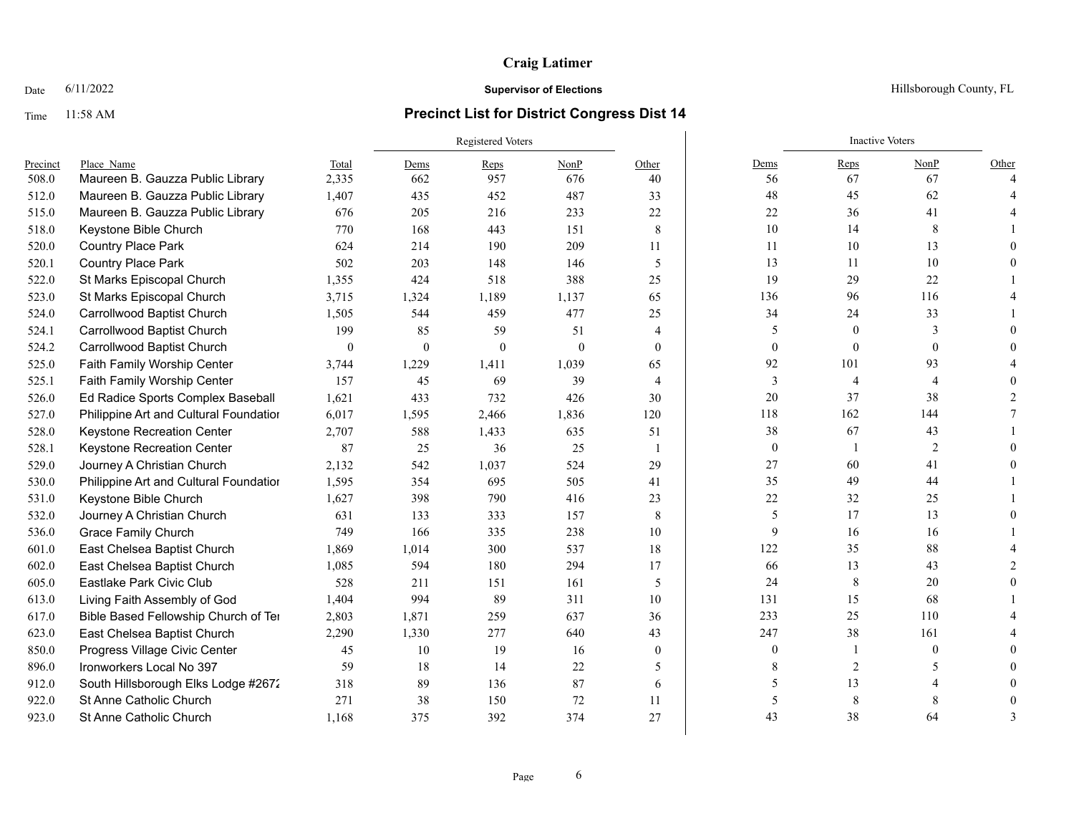### Time 11:58 AM **Precinct List for District Congress Dist 14**

### Registered Voters **Inactive Voters** Inactive Voters **Inactive Voters** Precinct Place\_Name Total Dems Reps NonP Other Dems Reps NonP Other 508.0 Maureen B. Gauzza Public Library 2,335 662 957 676 40 56 67 67 4 512.0 Maureen B. Gauzza Public Library 1,407 435 452 487 33 487 48 45 62 4 515.0 Maureen B. Gauzza Public Library 676 205 216 233 22 22 36 41 4 518.0 Keystone Bible Church 770 168 443 151 8 10 14 8 1 520.0 Country Place Park 624 214 190 209 11 11 10 13 0 520.1 Country Place Park 502 203 148 146 5 13 11 10 0 522.0 St Marks Episcopal Church 1,355 424 518 388 25 19 29 22 1 523.0 St Marks Episcopal Church 3,715 1,324 1,189 1,137 65 136 96 116 4 524.0 Carrollwood Baptist Church 1,505 544 459 477 25 34 24 33 1 524.1 Carrollwood Baptist Church 199 85 59 51 4 5 0 3 0 524.2 Carrollwood Baptist Church 0 0 0 0 0 0 0 0 0 525.0 Faith Family Worship Center 3,744 1,229 1,411 1,039 65 92 101 93 4 525.1 Faith Family Worship Center 157 45 69 39 4 3 4 4 4 0 526.0 Ed Radice Sports Complex Baseball 1,621 433 732 426 30 20 37 38 2 527.0 Philippine Art and Cultural Foundatior  $6,017$  1,595 2,466 1,836 120 118 118 162 144 7 528.0 Keystone Recreation Center 2,707 588 1,433 635 51 38 67 43 1 528.1 Keystone Recreation Center 87 25 36 25 1 0 1 2 0 529.0 Journey A Christian Church 2,132 542 1,037 524 29 27 60 41 0 530.0 Philippine Art and Cultural Foundation 1,595 354 695 505 41 35 49 44 1 531.0 Keystone Bible Church 1,627 398 790 416 23 22 32 25 1 532.0 Journey A Christian Church 631 133 333 157 8 5 17 13 0 536.0 Grace Family Church 749 166 335 238 10 9 16 16 1 601.0 East Chelsea Baptist Church 1,869 1,014 300 537 18 122 35 88 4 602.0 East Chelsea Baptist Church 1,085 594 180 294 17 66 13 43 2 605.0 Eastlake Park Civic Club 528 211 151 161 5 24 8 20 0 613.0 Living Faith Assembly of God 1,404 994 89 311 10 131 131 15 68 1 617.0 Bible Based Fellowship Church of Temple Terrace 2,803 1,871 259 637 36 233 25 110 4 623.0 East Chelsea Baptist Church 2,290 1,330 277 640 43 247 38 161 4 850.0 Progress Village Civic Center 45 10 19 16 0 0 1 0 19 0 0 896.0 Ironworkers Local No 397 59 18 14 22 5 8 2 5 5 0 912.0 South Hillsborough Elks Lodge #2672 318 89 136 87 6 5 13 4 0 922.0 St Anne Catholic Church 271 38 150 72 11 5 8 8 8 0 923.0 St Anne Catholic Church 1,168 375 392 374 27 43 38 64 3

### Date 6/11/2022 **Supervisor of Elections Supervisor of Elections** Hillsborough County, FL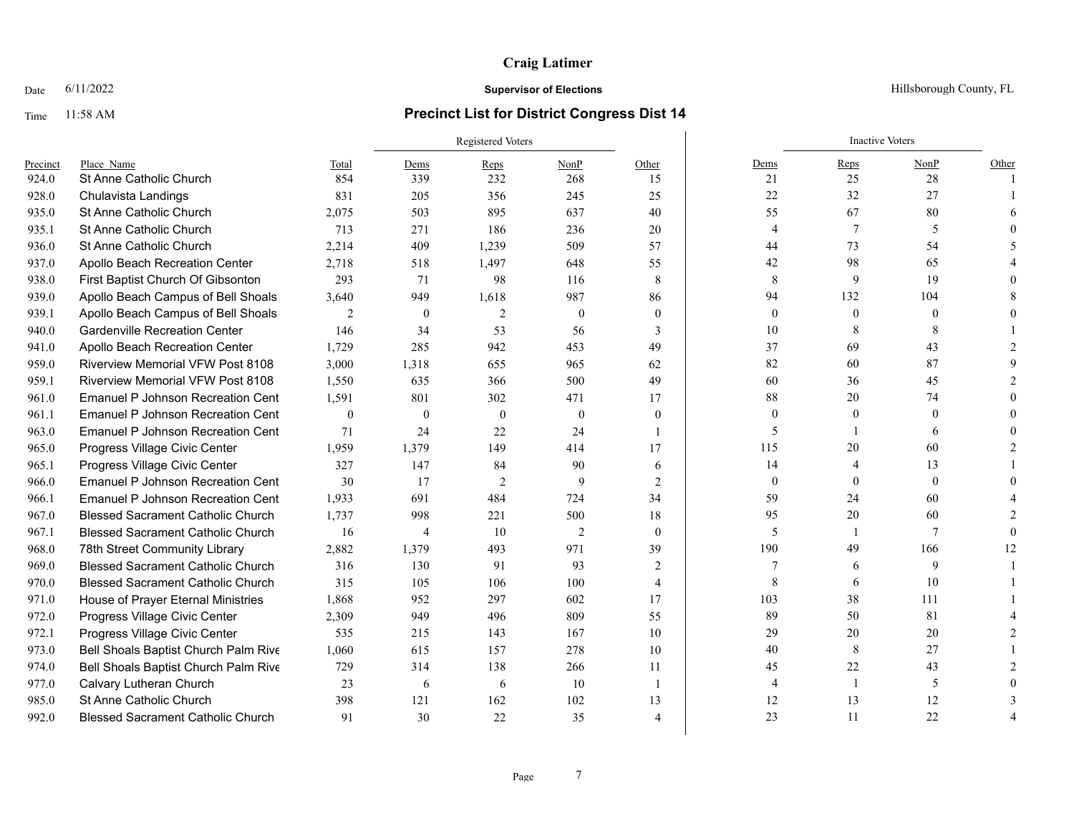### Time 11:58 AM **Precinct List for District Congress Dist 14**

|          |                                          |                | Registered Voters |                |          |                |                | <b>Inactive Voters</b> |              |       |
|----------|------------------------------------------|----------------|-------------------|----------------|----------|----------------|----------------|------------------------|--------------|-------|
| Precinct | Place Name                               | Total          | Dems              | Reps           | NonP     | Other          | Dems           | Reps                   | NonP         | Other |
| 924.0    | <b>St Anne Catholic Church</b>           | 854            | 339               | 232            | 268      | 15             | 21             | 25                     | 28           |       |
| 928.0    | Chulavista Landings                      | 831            | 205               | 356            | 245      | 25             | 22             | 32                     | 27           |       |
| 935.0    | St Anne Catholic Church                  | 2,075          | 503               | 895            | 637      | 40             | 55             | 67                     | 80           |       |
| 935.1    | St Anne Catholic Church                  | 713            | 271               | 186            | 236      | 20             | $\overline{4}$ | 7                      | 5            |       |
| 936.0    | St Anne Catholic Church                  | 2,214          | 409               | 1,239          | 509      | 57             | 44             | 73                     | 54           |       |
| 937.0    | Apollo Beach Recreation Center           | 2,718          | 518               | 1,497          | 648      | 55             | 42             | 98                     | 65           |       |
| 938.0    | First Baptist Church Of Gibsonton        | 293            | 71                | 98             | 116      | 8              | 8              | 9                      | 19           |       |
| 939.0    | Apollo Beach Campus of Bell Shoals       | 3,640          | 949               | 1,618          | 987      | 86             | 94             | 132                    | 104          |       |
| 939.1    | Apollo Beach Campus of Bell Shoals       | $\overline{2}$ | $\mathbf{0}$      | $\overline{2}$ | $\theta$ | $\theta$       | $\mathbf{0}$   | $\theta$               | $\theta$     |       |
| 940.0    | <b>Gardenville Recreation Center</b>     | 146            | 34                | 53             | 56       | 3              | 10             | 8                      | 8            |       |
| 941.0    | Apollo Beach Recreation Center           | 1.729          | 285               | 942            | 453      | 49             | 37             | 69                     | 43           |       |
| 959.0    | <b>Riverview Memorial VFW Post 8108</b>  | 3,000          | 1.318             | 655            | 965      | 62             | 82             | 60                     | 87           |       |
| 959.1    | <b>Riverview Memorial VFW Post 8108</b>  | 1,550          | 635               | 366            | 500      | 49             | 60             | 36                     | 45           |       |
| 961.0    | <b>Emanuel P Johnson Recreation Cent</b> | 1.591          | 801               | 302            | 471      | 17             | 88             | 20                     | 74           |       |
| 961.1    | <b>Emanuel P Johnson Recreation Cent</b> | $\mathbf{0}$   | $\mathbf{0}$      | $\theta$       | $\theta$ | $\theta$       | $\theta$       | $\mathbf{0}$           | $\Omega$     |       |
| 963.0    | <b>Emanuel P Johnson Recreation Cent</b> | 71             | 24                | 22             | 24       |                | 5              |                        | 6            |       |
| 965.0    | Progress Village Civic Center            | 1.959          | 1.379             | 149            | 414      | 17             | 115            | 20                     | 60           |       |
| 965.1    | Progress Village Civic Center            | 327            | 147               | 84             | 90       | 6              | 14             | $\overline{4}$         | 13           |       |
| 966.0    | <b>Emanuel P Johnson Recreation Cent</b> | 30             | 17                | $\overline{2}$ | 9        | $\overline{c}$ | $\mathbf{0}$   | $\theta$               | $\mathbf{0}$ |       |
| 966.1    | <b>Emanuel P Johnson Recreation Cent</b> | 1,933          | 691               | 484            | 724      | 34             | 59             | 24                     | 60           |       |
| 967.0    | <b>Blessed Sacrament Catholic Church</b> | 1,737          | 998               | 221            | 500      | 18             | 95             | 20                     | 60           |       |
| 967.1    | <b>Blessed Sacrament Catholic Church</b> | 16             | 4                 | 10             | 2        | $\theta$       | 5              |                        | 7            |       |
| 968.0    | 78th Street Community Library            | 2,882          | 1.379             | 493            | 971      | 39             | 190            | 49                     | 166          | 12    |
| 969.0    | <b>Blessed Sacrament Catholic Church</b> | 316            | 130               | 91             | 93       | 2              | 7              | 6                      | 9            |       |
| 970.0    | <b>Blessed Sacrament Catholic Church</b> | 315            | 105               | 106            | 100      | 4              | 8              | 6                      | 10           |       |
| 971.0    | House of Prayer Eternal Ministries       | 1,868          | 952               | 297            | 602      | 17             | 103            | 38                     | 111          |       |
| 972.0    | Progress Village Civic Center            | 2,309          | 949               | 496            | 809      | 55             | 89             | 50                     | 81           |       |
| 972.1    | Progress Village Civic Center            | 535            | 215               | 143            | 167      | 10             | 29             | 20                     | 20           |       |
| 973.0    | Bell Shoals Baptist Church Palm Rive     | 1.060          | 615               | 157            | 278      | 10             | 40             | 8                      | 27           |       |
| 974.0    | Bell Shoals Baptist Church Palm Rive     | 729            | 314               | 138            | 266      | 11             | 45             | 22                     | 43           |       |
| 977.0    | Calvary Lutheran Church                  | 23             | 6                 | 6              | 10       | $\overline{1}$ | 4              |                        | 5            |       |
| 985.0    | <b>St Anne Catholic Church</b>           | 398            | 121               | 162            | 102      | 13             | 12             | 13                     | 12           |       |
| 992.0    | <b>Blessed Sacrament Catholic Church</b> | 91             | 30                | 22             | 35       | $\Delta$       | 23             | 11                     | 22           |       |